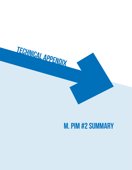

# **M. PIM #2 Summary**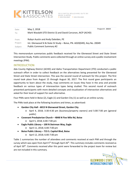

| Date:<br>To: | May 2, 2018<br>Mark Wasdahl (ITD District 3) and David Corcoran, AICP (ACHD) | Project #: 20659 |  |
|--------------|------------------------------------------------------------------------------|------------------|--|
| From:        | Robyn Austin and Andy Daleiden, PE                                           |                  |  |
| Project:     | Int. Glenwood St & State St Study - Boise, PN. A020(049), Key No. 20049      |                  |  |
| Subject:     | <b>Public Comment Summary #2</b>                                             |                  |  |

This memorandum summarizes public feedback received for the Glenwood Street and State Street Intersection Study. Public comments were collected through an online survey and a public involvement meetings (PIM).

# INTRODUCTION

Ada County Highway District (ACHD) and Idaho Transportation Department (ITD) conducted a public outreach effort in order to collect feedback on the alternatives being presented for the Glenwood Street and State Street intersection. This was the second round of outreach for this project. The first round took place from August 15 through August 30, 2017. The first round gave participants an opportunity to learn about the study, map comments on issues they have in the area and provide feedback on various types of interesection types being studied. This second round of outreach presented participants with more detailed concepts and visualization of intersection alternatives and asked for their level of support for each alternative.

Four PIMs were held in Boise (2), Eagle (1) and Garden City (1) as well as an online survey.

The PIMs took place at the following locations and times, as advertised:

- **Garden City Hall 6015 N Glenwood Street, Garden City**
	- o April 4, 2018; 3:30-4:30 pm (business/property owners) and 5:00-7:00 pm (general public)
- **Covenant Presbyterian Church 4848 N Five Mile Rd, Boise** 
	- o April 5, 2018; 6:00-7:00 pm
- **Eagle Public Library 100 N Steirman Way, Eagle** 
	- o April 11, 2018; 6:00-7:00 pm
- **Boise Public Library 715 S. Capitol Blvd, Boise** 
	- o April 12, 2018; 6:00-7:00 pm

Table 1 summarizes the number of attendees and comments received at each PIM and through the survey which was open from April  $5<sup>th</sup>$  through April 26<sup>th</sup>. This summary includes comments received as of April 30<sup>th</sup>. Comments received after this point were forwarded to the project team for review but are not included in this summary.

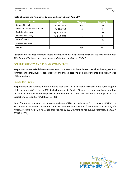#### **Table 1 Sources and Number of Comments Received as of April 30th**

| <b>Location</b>              | Date(s)              | <b>Attendees</b> | <b>Comments</b> |  |
|------------------------------|----------------------|------------------|-----------------|--|
| Garden City Hall             | April 4, 2018        | 152              | 72              |  |
| Covenant Presbyterian Church | April 5, 2018<br>12  |                  | 6               |  |
| Eagle Public Library         | April 11, 2018<br>58 |                  | 28              |  |
| <b>Boise Public Library</b>  | April 12, 2018       | 12               |                 |  |
| Emails/Letters               |                      |                  | 10              |  |
| <b>Online Comments</b>       |                      |                  | 338             |  |
| <b>TOTAL</b>                 |                      | 234              | 457             |  |

*Attachment A includes comment sheets, letter and emails. Attachment B includes the online comments. Attachment C includes the sign-in sheet and display boards from PIM #2.*

# ONLINE SURVEY AND PIM #2 COMMENTS

Respondents were asked the same questions at the PIM as in the online survey. The following sections summarize the individual responses received to these questions. Some respondents did not answer all of the questions.

# Respondent Profile

Respondents were asked to identify what zip code they live in. As shown in Figures 1 and 2, the majority of the responses (42%) live in 83714 which represents Garden City and the areas north and south of the intersection. 56% of the responses came from the zip codes that include or are adjacent to the subject intersection (83714, 83703, 83702).

*Note: During the first round of outreach in August 2017, the majority of the responses (52%) live in 83714 which represents Garden City and the areas north and south of the intersection. 95% of the responses came from the zip codes that include or are adjacent to the subject intersection (83714, 83703, 83702).*

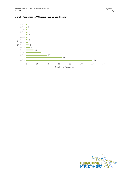



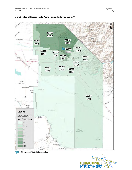



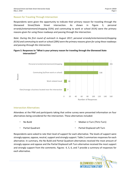# Reason for Traveling Through Intersection

Respondents were given the opportunity to indicate their primary reason for traveling through the Glenwood Street/State Street intersection. As shown in [Figure 3,](#page-5-0) personal errands/entertainment/shopping (53%) and commuting to work or school (41%) were the primary reasons given for using these roadways and passing through the intersection.

*Note: During the first round of outreach in August 2017, personal errands/entertainment/shopping (61%) and commuting to work or school (28%) were the primary reasons given for using these roadways and passing through the intersection.*

## <span id="page-5-0"></span>**Figure 3. Responses to "What is your primary reason for traveling through the Glenwood State intersection?"**



#### Intersection Alternatives

Attendees at the PIM and participants taking that online survey were presented information on four alternatives being considered for the intersection. These alternatives included:

No Build

Median U-Turn (ThrU-Turn)

Partial Quadrant

Partial Displaced Left Turn

<span id="page-5-1"></span>Respondents were asked to rate their level of support for each alternative. The levels of support were strongly oppose, oppose, neutral, support and strongly support. [Table 2](#page-5-1) summarizes responses for each alternative. In summary, the No Build and Partial Quadrant alternatives received the most amount of strongly oppose and oppose and the Partial Displaced Left Turn alternative received the most support and strongly support from the comments. Figures [4](#page-6-0)[, 5](#page-6-1)[, 6](#page-8-0)[, and 7](#page-9-0) provide a summary of responses for each alternative.

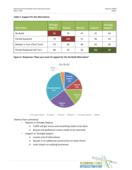#### **Table 2. Support for the Alternatives**

| <b>Alternative</b>          | <b>Strongly</b><br>Oppose | <b>Oppose</b> | <b>Neutral</b> | <b>Support</b> | <b>Strongly</b><br><b>Support</b> |
|-----------------------------|---------------------------|---------------|----------------|----------------|-----------------------------------|
| No Build                    | 96                        | 76            | 47             | 31             | 44                                |
| Partial Quadrant            | 75                        | <b>100</b>    | 51             | 46             | 24                                |
| Median U-Turn (ThrU-Turn)   | 53                        | 80            | 66             | 61             | 30                                |
| Partial Displaced Left Turn | 60                        | 43            | 42             | <b>101</b>     | 50                                |

#### <span id="page-6-0"></span>**Figure 4. Responses "Rate your level of support for the No Build Alternative"**



- <span id="page-6-1"></span>**• Oppose or Strongly Oppose** 
	- o Traffic will get worse and something needs to be done
	- o Bicycle and pedestrian access needs to be improved
- **Support or Strongly Support** 
	- o Lowest cost of alternatives
	- o Results in no additional construction on State Street
	- o Least impact on existing businesses

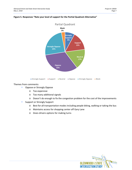

#### **Figure 5. Responses "Rate your level of support for the Partial Quadrant Alternative"**

- **Oppose or Strongly Oppose** 
	- o Too expensive
	- o Too many additional signals
	- o Doesn't do enough to fix the congestion problem for the cost of the improvements
- **Support or Strongly Support** 
	- o Best for all transportation modes including people biking, walking or taking the bus
	- o Maintains access for shopping center off Gary Lane
	- o Gives drivers options for making turns

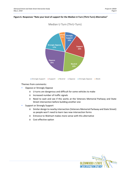#### <span id="page-8-0"></span>**Figure 6. Responses "Rate your level of support for the Median U-Turn (ThrU-Turn) Alternative"**



# Median U Turn (ThrU-Turn)

- **Oppose or Strongly Oppose** 
	- o U-turns are dangerous and difficult for some vehicles to make
	- o Increased number of traffic signals
	- o Need to wait and see if this works at the Veterans Memorial Parkway and State Street intersection before building another one
- **Support or Strongly Support** 
	- o Similar design to nearby intersection (Veterans Memorial Parkway and State Street) so people won't need to learn two new intersection forms
	- o Entrance to Walmart makes more sense with this alternative
	- o Cost effective option

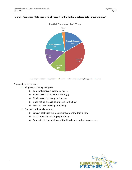

#### <span id="page-9-0"></span>**Figure 7. Responses "Rate your level of support for the Partial Displaced Left Turn Alternative"**

Strongly Support Support Neutral Oppose Strongly Oppose Blank

- **Oppose or Strongly Oppose** 
	- o Too confusing/difficult to navigate
	- o Blocks access to Strawberry Glen(n)
	- o Blocks access to many businesses
	- o Does not do enough to improve traffic flow
	- o Poor for people biking or walking
- **Support or Strongly Support** 
	- o Lowest cost with the most improvement to traffic flow
	- o Least impact to existing right of way
	- o Support with the addition of the bicycle and pedestrian overpass

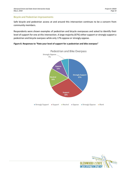#### Bicycle and Pedestrian Improvements

Safe bicycle and pedestrian access at and around this intersection continues to be a concern from community members.

Respondents were shown examples of pedestrian and bicycle overpasses and asked to identify their level of support for one at this intersection. A large majority (67%) either support or strongly support a pedestrian and bicycle overpass while only 17% oppose or strongly oppose.